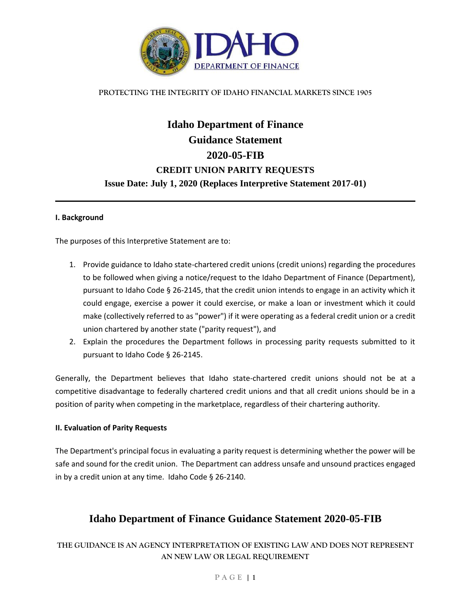

#### **PROTECTING THE INTEGRITY OF IDAHO FINANCIAL MARKETS SINCE 1905**

# **Idaho Department of Finance Guidance Statement 2020-05-FIB CREDIT UNION PARITY REQUESTS Issue Date: July 1, 2020 (Replaces Interpretive Statement 2017-01)**

#### **I. Background**

The purposes of this Interpretive Statement are to:

- 1. Provide guidance to Idaho state-chartered credit unions (credit unions) regarding the procedures to be followed when giving a notice/request to the Idaho Department of Finance (Department), pursuant to Idaho Code § 26-2145, that the credit union intends to engage in an activity which it could engage, exercise a power it could exercise, or make a loan or investment which it could make (collectively referred to as "power") if it were operating as a federal credit union or a credit union chartered by another state ("parity request"), and
- 2. Explain the procedures the Department follows in processing parity requests submitted to it pursuant to Idaho Code § 26-2145.

Generally, the Department believes that Idaho state-chartered credit unions should not be at a competitive disadvantage to federally chartered credit unions and that all credit unions should be in a position of parity when competing in the marketplace, regardless of their chartering authority.

#### **II. Evaluation of Parity Requests**

The Department's principal focus in evaluating a parity request is determining whether the power will be safe and sound for the credit union. The Department can address unsafe and unsound practices engaged in by a credit union at any time. Idaho Code § 26-2140.

# **Idaho Department of Finance Guidance Statement 2020-05-FIB**

### **THE GUIDANCE IS AN AGENCY INTERPRETATION OF EXISTING LAW AND DOES NOT REPRESENT AN NEW LAW OR LEGAL REQUIREMENT**

#### **P A G E | 1**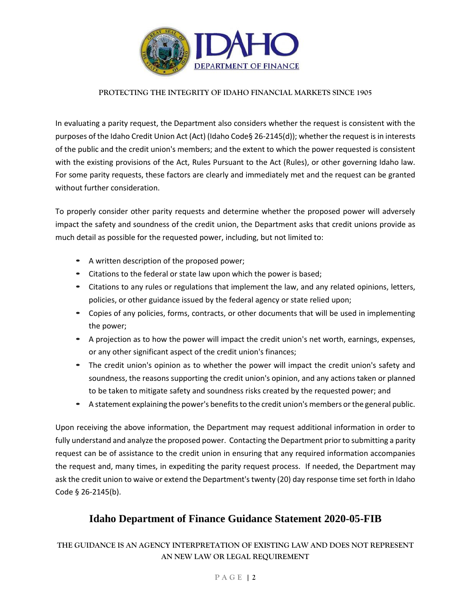

#### **PROTECTING THE INTEGRITY OF IDAHO FINANCIAL MARKETS SINCE 1905**

In evaluating a parity request, the Department also considers whether the request is consistent with the purposes of the Idaho Credit Union Act (Act) (Idaho Code§ 26-2145(d)); whether the request is in interests of the public and the credit union's members; and the extent to which the power requested is consistent with the existing provisions of the Act, Rules Pursuant to the Act (Rules), or other governing Idaho law. For some parity requests, these factors are clearly and immediately met and the request can be granted without further consideration.

To properly consider other parity requests and determine whether the proposed power will adversely impact the safety and soundness of the credit union, the Department asks that credit unions provide as much detail as possible for the requested power, including, but not limited to:

- A written description of the proposed power;
- Citations to the federal or state law upon which the power is based;
- Citations to any rules or regulations that implement the law, and any related opinions, letters, policies, or other guidance issued by the federal agency or state relied upon;
- Copies of any policies, forms, contracts, or other documents that will be used in implementing the power;
- A projection as to how the power will impact the credit union's net worth, earnings, expenses, or any other significant aspect of the credit union's finances;
- The credit union's opinion as to whether the power will impact the credit union's safety and soundness, the reasons supporting the credit union's opinion, and any actions taken or planned to be taken to mitigate safety and soundness risks created by the requested power; and
- A statement explaining the power's benefits to the credit union's members or the general public.

Upon receiving the above information, the Department may request additional information in order to fully understand and analyze the proposed power. Contacting the Department prior to submitting a parity request can be of assistance to the credit union in ensuring that any required information accompanies the request and, many times, in expediting the parity request process. If needed, the Department may ask the credit union to waive or extend the Department's twenty (20) day response time set forth in Idaho Code § 26-2145(b).

# **Idaho Department of Finance Guidance Statement 2020-05-FIB**

### **THE GUIDANCE IS AN AGENCY INTERPRETATION OF EXISTING LAW AND DOES NOT REPRESENT AN NEW LAW OR LEGAL REQUIREMENT**

#### **P A G E | 2**